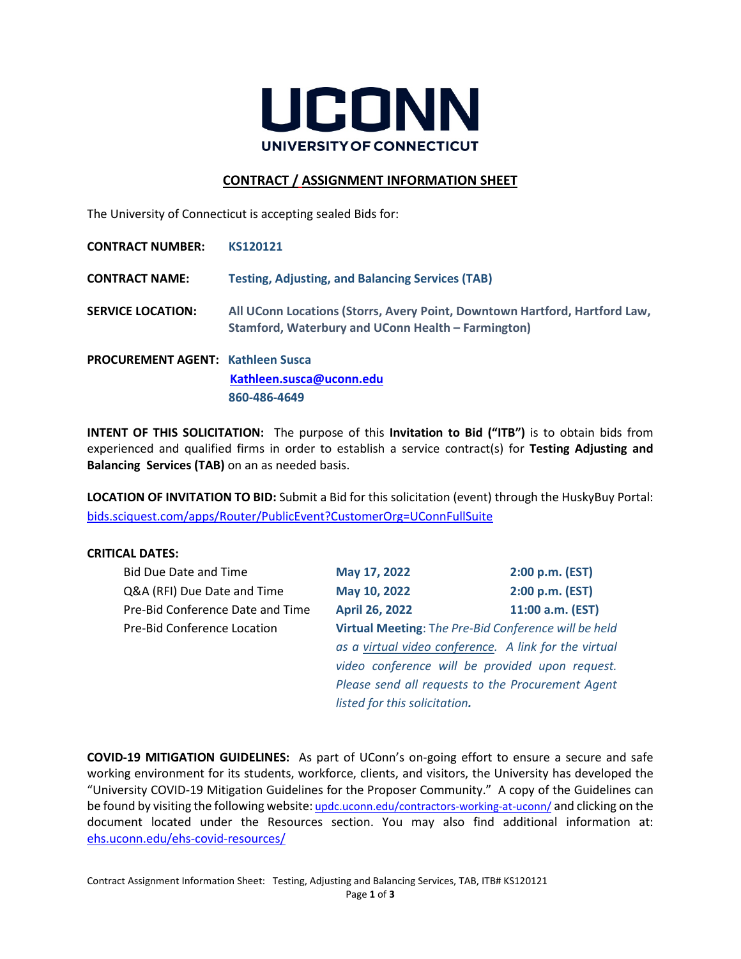

# **CONTRACT / ASSIGNMENT INFORMATION SHEET**

The University of Connecticut is accepting sealed Bids for:

| <b>CONTRACT NUMBER:</b>                   | KS120121                                                                                                                         |
|-------------------------------------------|----------------------------------------------------------------------------------------------------------------------------------|
| <b>CONTRACT NAME:</b>                     | <b>Testing, Adjusting, and Balancing Services (TAB)</b>                                                                          |
| <b>SERVICE LOCATION:</b>                  | All UConn Locations (Storrs, Avery Point, Downtown Hartford, Hartford Law,<br>Stamford, Waterbury and UConn Health – Farmington) |
| <b>PROCUREMENT AGENT: Kathleen Suscal</b> | Kathleen.susca@uconn.edu                                                                                                         |
|                                           |                                                                                                                                  |

**860-486-4649**

**INTENT OF THIS SOLICITATION:** The purpose of this **Invitation to Bid ("ITB")** is to obtain bids from experienced and qualified firms in order to establish a service contract(s) for **Testing Adjusting and Balancing Services (TAB)** on an as needed basis.

**LOCATION OF INVITATION TO BID:** Submit a Bid for this solicitation (event) through the HuskyBuy Portal: [bids.sciquest.com/apps/Router/PublicEvent?CustomerOrg=UConnFullSuite](https://bids.sciquest.com/apps/Router/PublicEvent?CustomerOrg=UConnFullSuite)

## **CRITICAL DATES:**

| <b>Bid Due Date and Time</b>                                                        | May 17, 2022                                          | 2:00 p.m. (EST)  |
|-------------------------------------------------------------------------------------|-------------------------------------------------------|------------------|
| Q&A (RFI) Due Date and Time                                                         | May 10, 2022                                          | 2:00 p.m. (EST)  |
| Pre-Bid Conference Date and Time                                                    | <b>April 26, 2022</b>                                 | 11:00 a.m. (EST) |
| Virtual Meeting: The Pre-Bid Conference will be held<br>Pre-Bid Conference Location |                                                       |                  |
|                                                                                     | as a virtual video conference. A link for the virtual |                  |
|                                                                                     | video conference will be provided upon request.       |                  |
|                                                                                     | Please send all requests to the Procurement Agent     |                  |
|                                                                                     | listed for this solicitation.                         |                  |
|                                                                                     |                                                       |                  |

**COVID-19 MITIGATION GUIDELINES:**As part of UConn's on-going effort to ensure a secure and safe working environment for its students, workforce, clients, and visitors, the University has developed the "University COVID-19 Mitigation Guidelines for the Proposer Community." A copy of the Guidelines can be found by visiting the following website: [updc.uconn.edu/contractors-working-at-uconn/](https://updc.uconn.edu/contractors-working-at-uconn/) and clicking on the document located under the Resources section. You may also find additional information at: [ehs.uconn.edu/ehs-covid-resources/](https://ehs.uconn.edu/ehs-covid-resources/)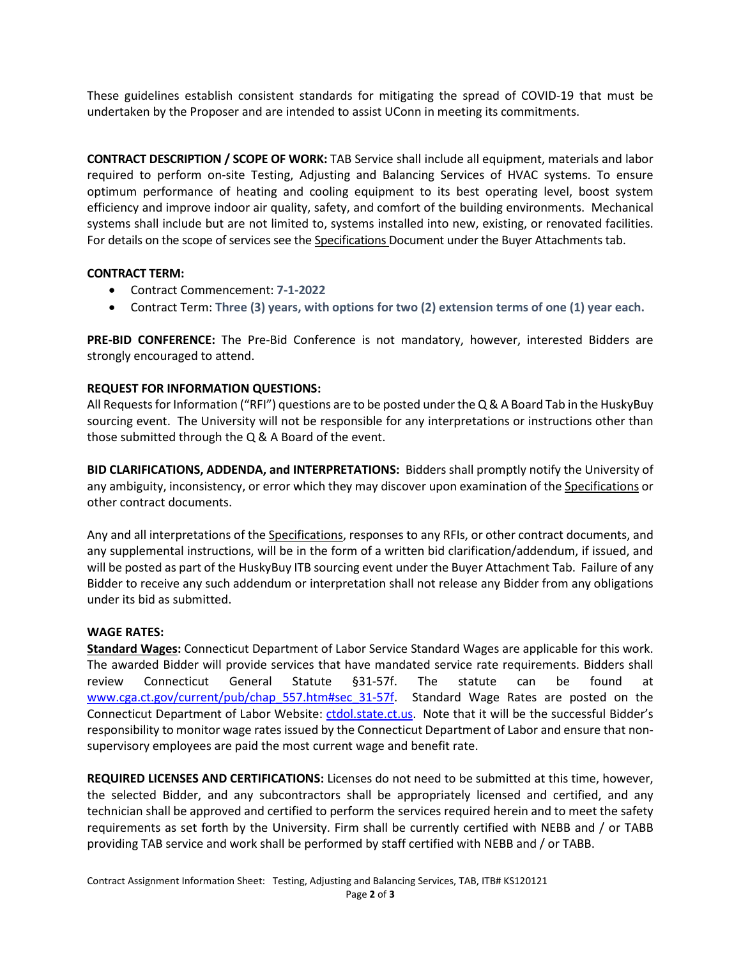These guidelines establish consistent standards for mitigating the spread of COVID-19 that must be undertaken by the Proposer and are intended to assist UConn in meeting its commitments.

**CONTRACT DESCRIPTION / SCOPE OF WORK:** TAB Service shall include all equipment, materials and labor required to perform on-site Testing, Adjusting and Balancing Services of HVAC systems. To ensure optimum performance of heating and cooling equipment to its best operating level, boost system efficiency and improve indoor air quality, safety, and comfort of the building environments. Mechanical systems shall include but are not limited to, systems installed into new, existing, or renovated facilities. For details on the scope of services see the Specifications Document under the Buyer Attachments tab.

## **CONTRACT TERM:**

- Contract Commencement: **7-1-2022**
- Contract Term: **Three (3) years, with options for two (2) extension terms of one (1) year each.**

**PRE-BID CONFERENCE:** The Pre-Bid Conference is not mandatory, however, interested Bidders are strongly encouraged to attend.

# **REQUEST FOR INFORMATION QUESTIONS:**

All Requests for Information ("RFI") questions are to be posted under the Q & A Board Tab in the HuskyBuy sourcing event. The University will not be responsible for any interpretations or instructions other than those submitted through the Q & A Board of the event.

**BID CLARIFICATIONS, ADDENDA, and INTERPRETATIONS:** Bidders shall promptly notify the University of any ambiguity, inconsistency, or error which they may discover upon examination of the Specifications or other contract documents.

Any and all interpretations of the Specifications, responses to any RFIs, or other contract documents, and any supplemental instructions, will be in the form of a written bid clarification/addendum, if issued, and will be posted as part of the HuskyBuy ITB sourcing event under the Buyer Attachment Tab. Failure of any Bidder to receive any such addendum or interpretation shall not release any Bidder from any obligations under its bid as submitted.

## **WAGE RATES:**

**Standard Wages:** Connecticut Department of Labor Service Standard Wages are applicable for this work. The awarded Bidder will provide services that have mandated service rate requirements. Bidders shall review Connecticut General Statute §31-57f. The statute can be found at [www.cga.ct.gov/current/pub/chap\\_557.htm#sec\\_31-57f.](https://www.cga.ct.gov/current/pub/chap_557.htm#sec_31-57f) Standard Wage Rates are posted on the Connecticut Department of Labor Website: ctdol.state.ct.us. Note that it will be the successful Bidder's responsibility to monitor wage rates issued by the Connecticut Department of Labor and ensure that nonsupervisory employees are paid the most current wage and benefit rate.

**REQUIRED LICENSES AND CERTIFICATIONS:** Licenses do not need to be submitted at this time, however, the selected Bidder, and any subcontractors shall be appropriately licensed and certified, and any technician shall be approved and certified to perform the services required herein and to meet the safety requirements as set forth by the University. Firm shall be currently certified with NEBB and / or TABB providing TAB service and work shall be performed by staff certified with NEBB and / or TABB.